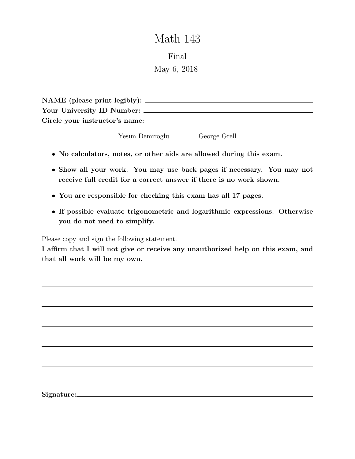# Math 143

Final

May 6, 2018

| NAME (please print legibly):   |  |
|--------------------------------|--|
| Your University ID Number:     |  |
| Circle your instructor's name: |  |

Yesim Demiroglu George Grell

- No calculators, notes, or other aids are allowed during this exam.
- Show all your work. You may use back pages if necessary. You may not receive full credit for a correct answer if there is no work shown.
- You are responsible for checking this exam has all 17 pages.
- If possible evaluate trigonometric and logarithmic expressions. Otherwise you do not need to simplify.

Please copy and sign the following statement.

I affirm that I will not give or receive any unauthorized help on this exam, and that all work will be my own.

Signature: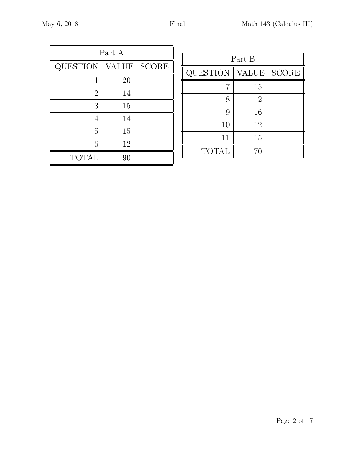| Part A          |       |              |  |  |  |
|-----------------|-------|--------------|--|--|--|
| <b>QUESTION</b> | VALUE | <b>SCORE</b> |  |  |  |
|                 | 20    |              |  |  |  |
| $\overline{2}$  | 14    |              |  |  |  |
| 3               | 15    |              |  |  |  |
| 4               | 14    |              |  |  |  |
| 5               | 15    |              |  |  |  |
| 6               | 12    |              |  |  |  |
| <b>TOTAL</b>    | 90    |              |  |  |  |

| Part B          |              |                        |  |  |
|-----------------|--------------|------------------------|--|--|
| <b>QUESTION</b> | <b>VALUE</b> | $\operatorname{SCORE}$ |  |  |
|                 | 15           |                        |  |  |
| 8               | 12           |                        |  |  |
| 9               | 16           |                        |  |  |
| 10              | 12           |                        |  |  |
| 11              | 15           |                        |  |  |
| <b>TOTAL</b>    | 70           |                        |  |  |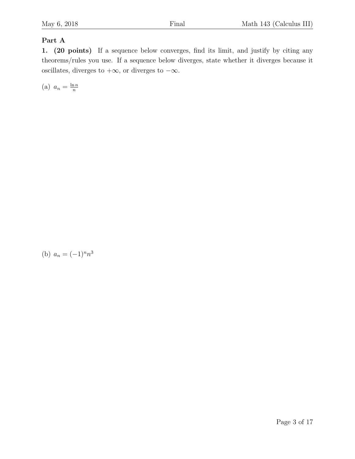### Part A

1. (20 points) If a sequence below converges, find its limit, and justify by citing any theorems/rules you use. If a sequence below diverges, state whether it diverges because it oscillates, diverges to  $+\infty$ , or diverges to  $-\infty$ .

(a)  $a_n = \frac{\ln n}{n}$ n

(b)  $a_n = (-1)^n n^3$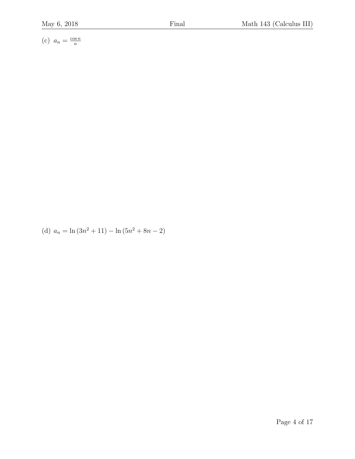(c)  $a_n = \frac{\cos n}{n}$ n

(d)  $a_n = \ln(3n^2 + 11) - \ln(5n^2 + 8n - 2)$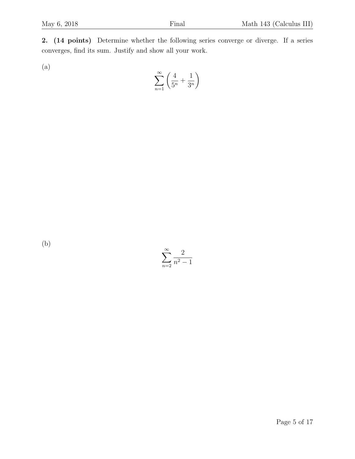2. (14 points) Determine whether the following series converge or diverge. If a series converges, find its sum. Justify and show all your work.

(a)

$$
\sum_{n=1}^{\infty} \left( \frac{4}{5^n} + \frac{1}{3^n} \right)
$$

(b)

 $\sum^{\infty}$  $n=2$ 2  $n^2 - 1$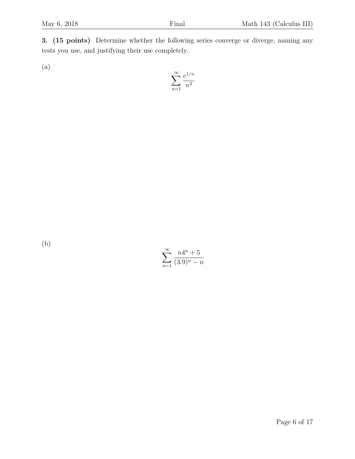3. (15 points) Determine whether the following series converge or diverge, naming any tests you use, and justifying their use completely.

(a)

$$
\sum_{n=1}^{\infty} \frac{e^{1/n}}{n^2}
$$

(b)

 $\sum^{\infty}$  $n=1$  $n4^n + 5$  $(3.9)^n - n$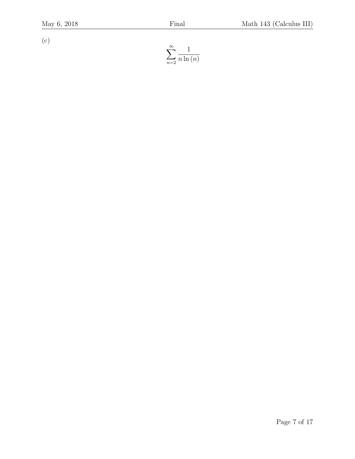(c)

$$
\sum_{n=2}^{\infty} \frac{1}{n \ln(n)}
$$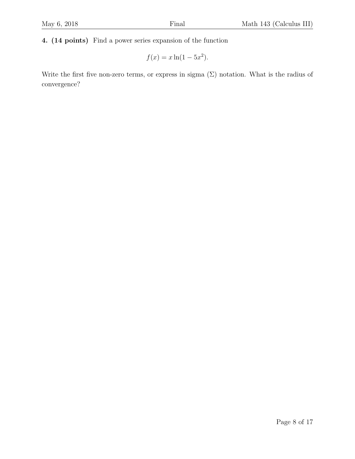4. (14 points) Find a power series expansion of the function

$$
f(x) = x \ln(1 - 5x^2).
$$

Write the first five non-zero terms, or express in sigma  $(\Sigma)$  notation. What is the radius of convergence?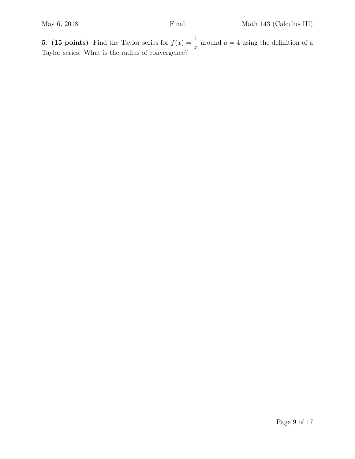**5.** (15 points) Find the Taylor series for  $f(x) = \frac{1}{x}$  $\overline{x}$ around  $a = 4$  using the definition of a Taylor series. What is the radius of convergence?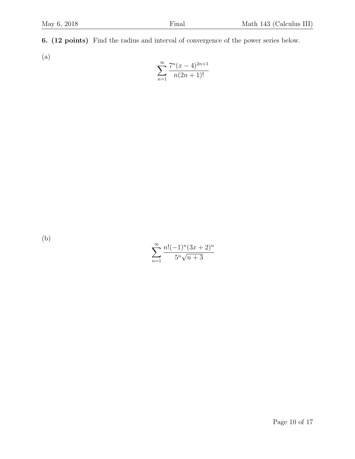6. (12 points) Find the radius and interval of convergence of the power series below.

(a)

$$
\sum_{n=1}^{\infty} \frac{7^n(x-4)^{2n+1}}{n(2n+1)!}
$$

(b)

$$
\sum_{n=1}^{\infty} \frac{n!(-1)^n (3x+2)^n}{5^n \sqrt{n+3}}
$$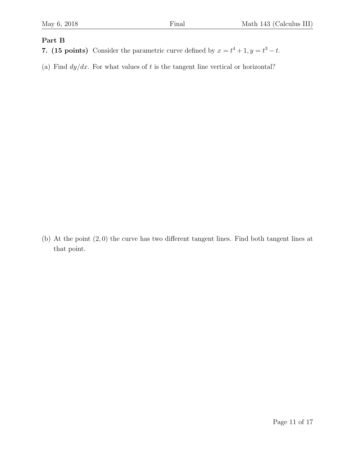#### Part B

7. (15 points) Consider the parametric curve defined by  $x = t^4 + 1, y = t^3 - t$ .

(a) Find  $dy/dx$ . For what values of t is the tangent line vertical or horizontal?

(b) At the point (2, 0) the curve has two different tangent lines. Find both tangent lines at that point.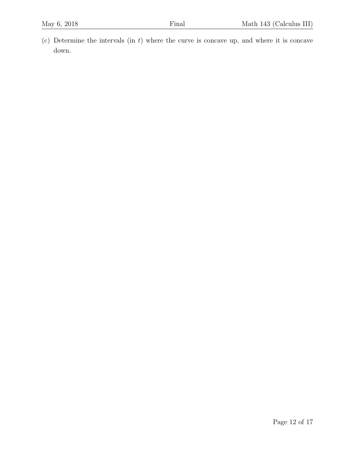(c) Determine the intervals  $(in t)$  where the curve is concave up, and where it is concave down.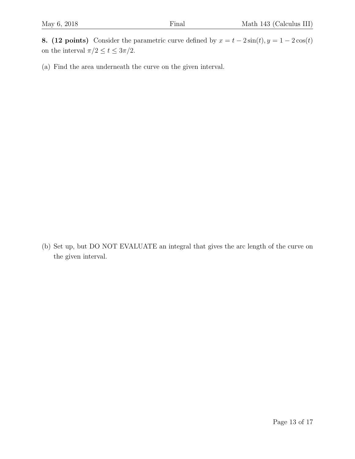8. (12 points) Consider the parametric curve defined by  $x = t - 2\sin(t)$ ,  $y = 1 - 2\cos(t)$ on the interval  $\pi/2 \leq t \leq 3\pi/2.$ 

(a) Find the area underneath the curve on the given interval.

(b) Set up, but DO NOT EVALUATE an integral that gives the arc length of the curve on the given interval.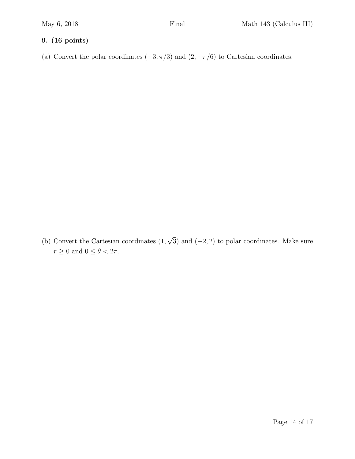## 9. (16 points)

(a) Convert the polar coordinates  $(-3, \pi/3)$  and  $(2, -\pi/6)$  to Cartesian coordinates.

(b) Convert the Cartesian coordinates (1, √ 3) and  $(-2, 2)$  to polar coordinates. Make sure  $r \geq 0$  and  $0 \leq \theta < 2\pi$ .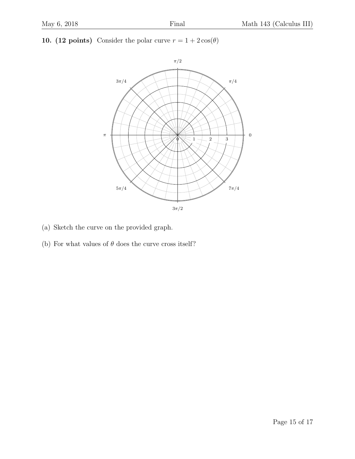### 10. (12 points) Consider the polar curve  $r = 1 + 2\cos(\theta)$



- (a) Sketch the curve on the provided graph.
- (b) For what values of  $\theta$  does the curve cross itself?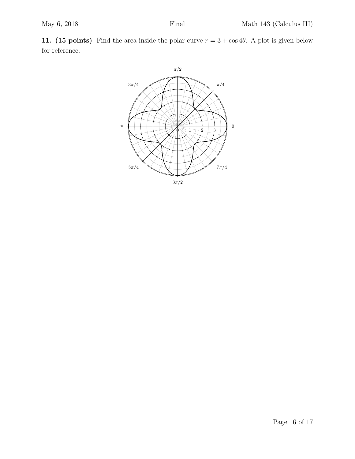11. (15 points) Find the area inside the polar curve  $r = 3 + \cos 4\theta$ . A plot is given below for reference.